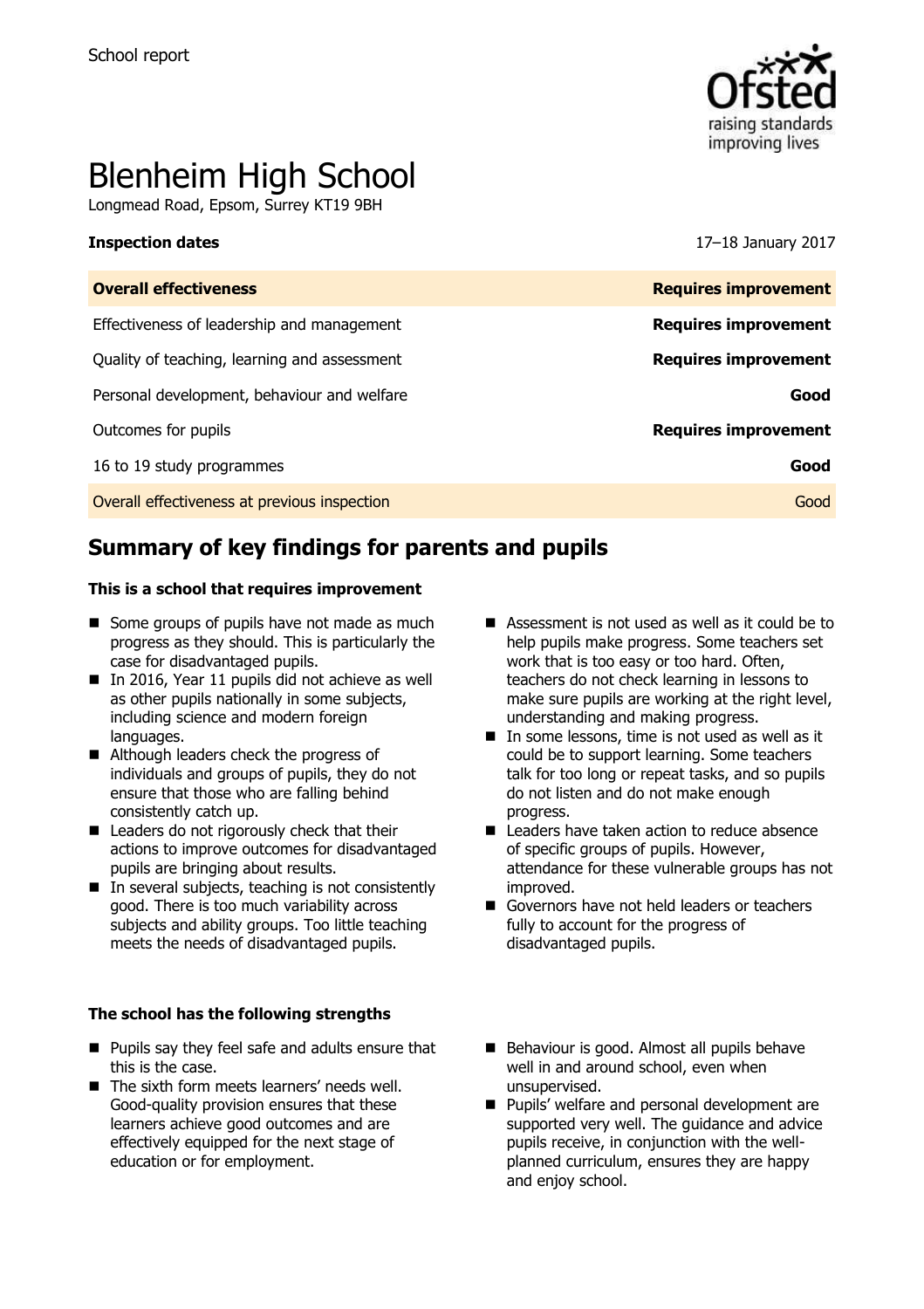

# Blenheim High School

Longmead Road, Epsom, Surrey KT19 9BH

**Inspection dates** 17–18 January 2017

| <b>Overall effectiveness</b>                 | <b>Requires improvement</b> |
|----------------------------------------------|-----------------------------|
| Effectiveness of leadership and management   | <b>Requires improvement</b> |
| Quality of teaching, learning and assessment | <b>Requires improvement</b> |
| Personal development, behaviour and welfare  | Good                        |
| Outcomes for pupils                          | <b>Requires improvement</b> |
| 16 to 19 study programmes                    | Good                        |
| Overall effectiveness at previous inspection | Good                        |
|                                              |                             |

# **Summary of key findings for parents and pupils**

### **This is a school that requires improvement**

- $\blacksquare$  Some groups of pupils have not made as much progress as they should. This is particularly the case for disadvantaged pupils.
- $\blacksquare$  In 2016, Year 11 pupils did not achieve as well as other pupils nationally in some subjects, including science and modern foreign languages.
- Although leaders check the progress of individuals and groups of pupils, they do not ensure that those who are falling behind consistently catch up.
- Leaders do not rigorously check that their actions to improve outcomes for disadvantaged pupils are bringing about results.
- $\blacksquare$  In several subjects, teaching is not consistently good. There is too much variability across subjects and ability groups. Too little teaching meets the needs of disadvantaged pupils.

### **The school has the following strengths**

- **Pupils say they feel safe and adults ensure that** this is the case.
- $\blacksquare$  The sixth form meets learners' needs well. Good-quality provision ensures that these learners achieve good outcomes and are effectively equipped for the next stage of education or for employment.
- Assessment is not used as well as it could be to help pupils make progress. Some teachers set work that is too easy or too hard. Often, teachers do not check learning in lessons to make sure pupils are working at the right level, understanding and making progress.
- $\blacksquare$  In some lessons, time is not used as well as it could be to support learning. Some teachers talk for too long or repeat tasks, and so pupils do not listen and do not make enough progress.
- Leaders have taken action to reduce absence of specific groups of pupils. However, attendance for these vulnerable groups has not improved.
- Governors have not held leaders or teachers fully to account for the progress of disadvantaged pupils.
- Behaviour is good. Almost all pupils behave well in and around school, even when unsupervised.
- **Pupils' welfare and personal development are** supported very well. The guidance and advice pupils receive, in conjunction with the wellplanned curriculum, ensures they are happy and enjoy school.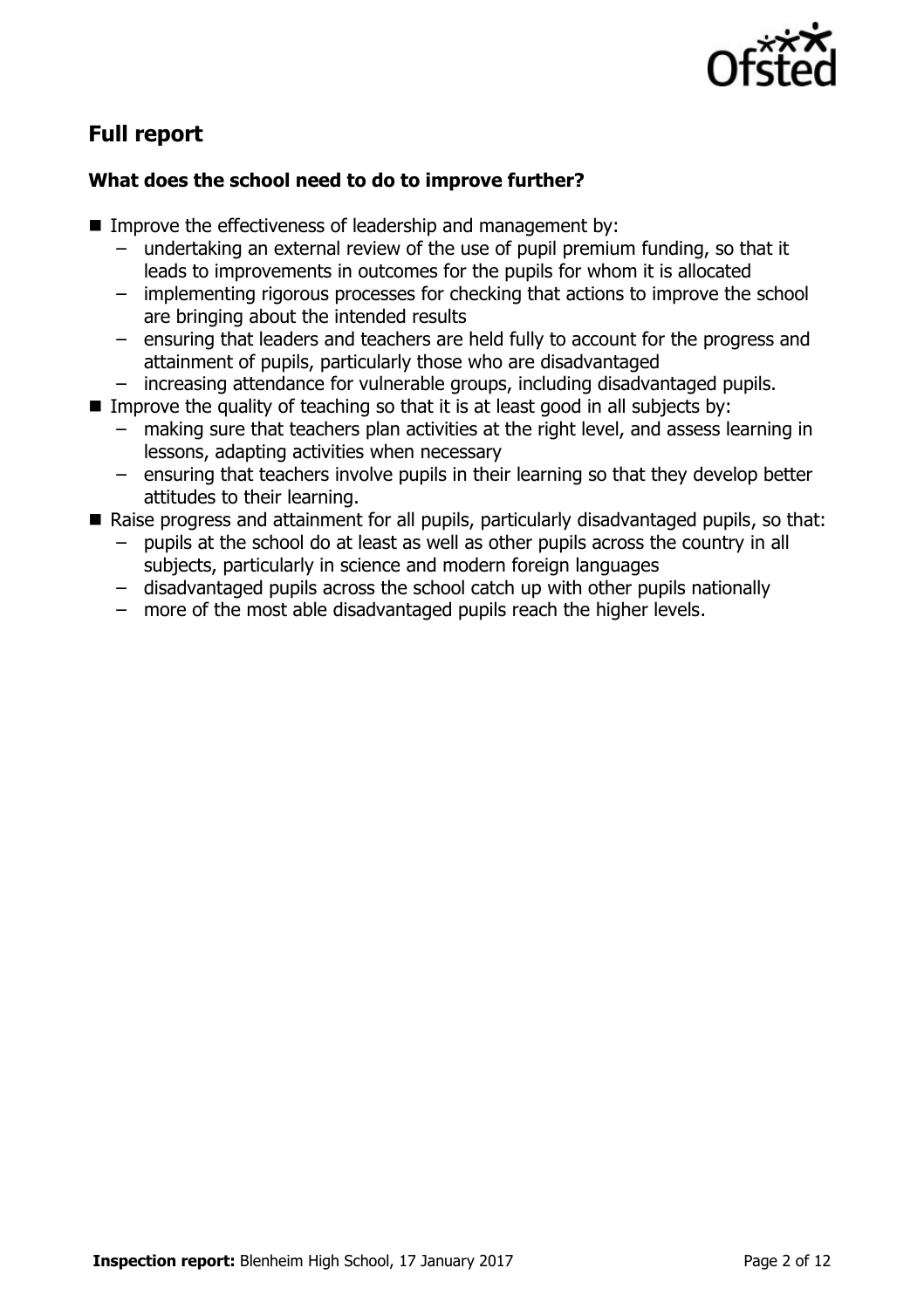

# **Full report**

### **What does the school need to do to improve further?**

- Improve the effectiveness of leadership and management by:
	- undertaking an external review of the use of pupil premium funding, so that it leads to improvements in outcomes for the pupils for whom it is allocated
	- implementing rigorous processes for checking that actions to improve the school are bringing about the intended results
	- ensuring that leaders and teachers are held fully to account for the progress and attainment of pupils, particularly those who are disadvantaged
	- increasing attendance for vulnerable groups, including disadvantaged pupils.
- Improve the quality of teaching so that it is at least good in all subjects by:
	- making sure that teachers plan activities at the right level, and assess learning in lessons, adapting activities when necessary
	- ensuring that teachers involve pupils in their learning so that they develop better attitudes to their learning.
- Raise progress and attainment for all pupils, particularly disadvantaged pupils, so that:
	- pupils at the school do at least as well as other pupils across the country in all subjects, particularly in science and modern foreign languages
	- disadvantaged pupils across the school catch up with other pupils nationally
	- more of the most able disadvantaged pupils reach the higher levels.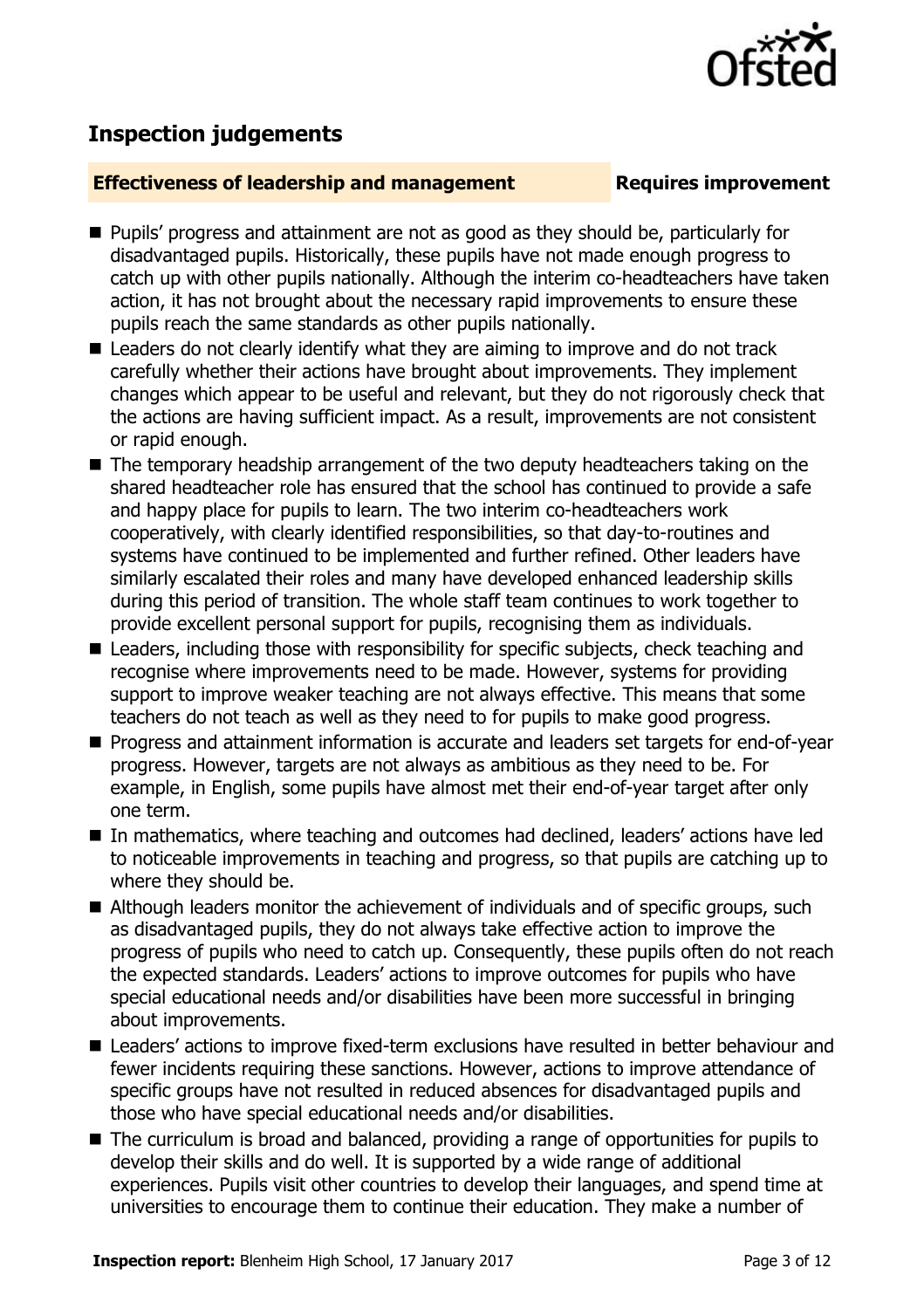

# **Inspection judgements**

### **Effectiveness of leadership and management Requires improvement**

- **Pupils' progress and attainment are not as good as they should be, particularly for** disadvantaged pupils. Historically, these pupils have not made enough progress to catch up with other pupils nationally. Although the interim co-headteachers have taken action, it has not brought about the necessary rapid improvements to ensure these pupils reach the same standards as other pupils nationally.
- Leaders do not clearly identify what they are aiming to improve and do not track carefully whether their actions have brought about improvements. They implement changes which appear to be useful and relevant, but they do not rigorously check that the actions are having sufficient impact. As a result, improvements are not consistent or rapid enough.
- The temporary headship arrangement of the two deputy headteachers taking on the shared headteacher role has ensured that the school has continued to provide a safe and happy place for pupils to learn. The two interim co-headteachers work cooperatively, with clearly identified responsibilities, so that day-to-routines and systems have continued to be implemented and further refined. Other leaders have similarly escalated their roles and many have developed enhanced leadership skills during this period of transition. The whole staff team continues to work together to provide excellent personal support for pupils, recognising them as individuals.
- Leaders, including those with responsibility for specific subjects, check teaching and recognise where improvements need to be made. However, systems for providing support to improve weaker teaching are not always effective. This means that some teachers do not teach as well as they need to for pupils to make good progress.
- **Progress and attainment information is accurate and leaders set targets for end-of-year** progress. However, targets are not always as ambitious as they need to be. For example, in English, some pupils have almost met their end-of-year target after only one term.
- In mathematics, where teaching and outcomes had declined, leaders' actions have led to noticeable improvements in teaching and progress, so that pupils are catching up to where they should be.
- Although leaders monitor the achievement of individuals and of specific groups, such as disadvantaged pupils, they do not always take effective action to improve the progress of pupils who need to catch up. Consequently, these pupils often do not reach the expected standards. Leaders' actions to improve outcomes for pupils who have special educational needs and/or disabilities have been more successful in bringing about improvements.
- Leaders' actions to improve fixed-term exclusions have resulted in better behaviour and fewer incidents requiring these sanctions. However, actions to improve attendance of specific groups have not resulted in reduced absences for disadvantaged pupils and those who have special educational needs and/or disabilities.
- The curriculum is broad and balanced, providing a range of opportunities for pupils to develop their skills and do well. It is supported by a wide range of additional experiences. Pupils visit other countries to develop their languages, and spend time at universities to encourage them to continue their education. They make a number of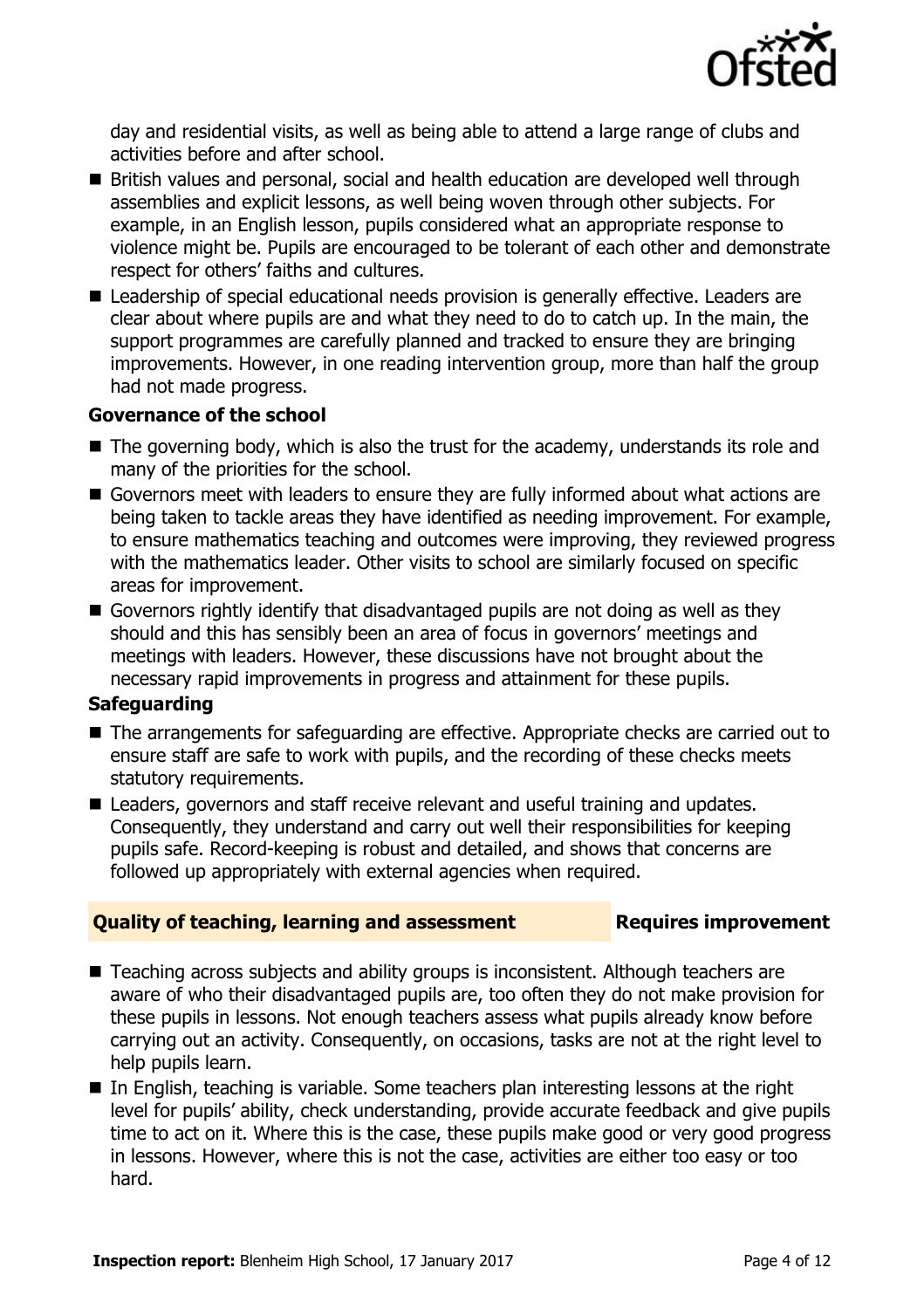

day and residential visits, as well as being able to attend a large range of clubs and activities before and after school.

- British values and personal, social and health education are developed well through assemblies and explicit lessons, as well being woven through other subjects. For example, in an English lesson, pupils considered what an appropriate response to violence might be. Pupils are encouraged to be tolerant of each other and demonstrate respect for others' faiths and cultures.
- Leadership of special educational needs provision is generally effective. Leaders are clear about where pupils are and what they need to do to catch up. In the main, the support programmes are carefully planned and tracked to ensure they are bringing improvements. However, in one reading intervention group, more than half the group had not made progress.

### **Governance of the school**

- $\blacksquare$  The governing body, which is also the trust for the academy, understands its role and many of the priorities for the school.
- Governors meet with leaders to ensure they are fully informed about what actions are being taken to tackle areas they have identified as needing improvement. For example, to ensure mathematics teaching and outcomes were improving, they reviewed progress with the mathematics leader. Other visits to school are similarly focused on specific areas for improvement.
- Governors rightly identify that disadvantaged pupils are not doing as well as they should and this has sensibly been an area of focus in governors' meetings and meetings with leaders. However, these discussions have not brought about the necessary rapid improvements in progress and attainment for these pupils.

### **Safeguarding**

- The arrangements for safeguarding are effective. Appropriate checks are carried out to ensure staff are safe to work with pupils, and the recording of these checks meets statutory requirements.
- Leaders, governors and staff receive relevant and useful training and updates. Consequently, they understand and carry out well their responsibilities for keeping pupils safe. Record-keeping is robust and detailed, and shows that concerns are followed up appropriately with external agencies when required.

### **Quality of teaching, learning and assessment Requires improvement**

- Teaching across subjects and ability groups is inconsistent. Although teachers are aware of who their disadvantaged pupils are, too often they do not make provision for these pupils in lessons. Not enough teachers assess what pupils already know before carrying out an activity. Consequently, on occasions, tasks are not at the right level to help pupils learn.
- In English, teaching is variable. Some teachers plan interesting lessons at the right level for pupils' ability, check understanding, provide accurate feedback and give pupils time to act on it. Where this is the case, these pupils make good or very good progress in lessons. However, where this is not the case, activities are either too easy or too hard.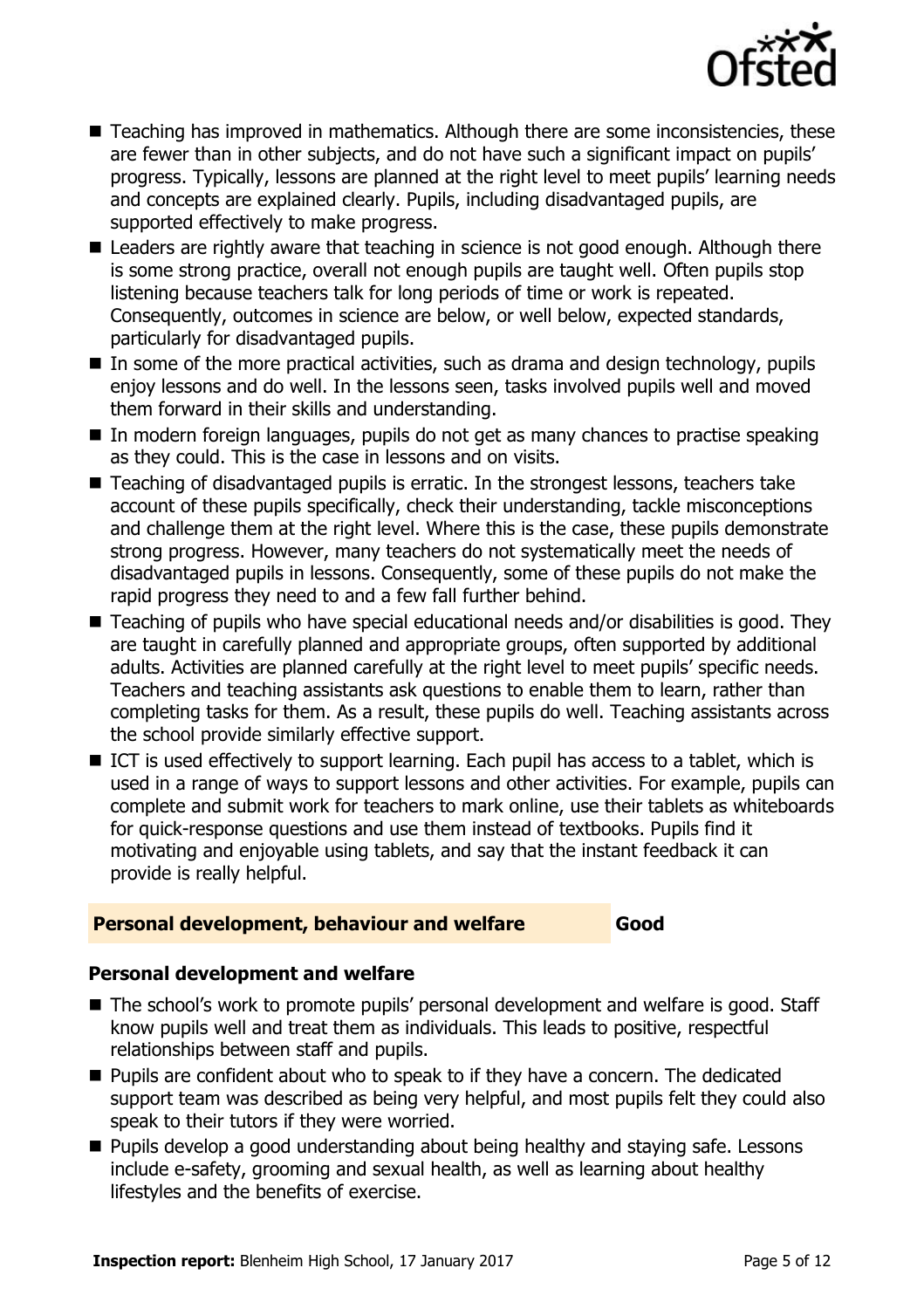

- Teaching has improved in mathematics. Although there are some inconsistencies, these are fewer than in other subjects, and do not have such a significant impact on pupils' progress. Typically, lessons are planned at the right level to meet pupils' learning needs and concepts are explained clearly. Pupils, including disadvantaged pupils, are supported effectively to make progress.
- Leaders are rightly aware that teaching in science is not good enough. Although there is some strong practice, overall not enough pupils are taught well. Often pupils stop listening because teachers talk for long periods of time or work is repeated. Consequently, outcomes in science are below, or well below, expected standards, particularly for disadvantaged pupils.
- In some of the more practical activities, such as drama and design technology, pupils enjoy lessons and do well. In the lessons seen, tasks involved pupils well and moved them forward in their skills and understanding.
- In modern foreign languages, pupils do not get as many chances to practise speaking as they could. This is the case in lessons and on visits.
- Teaching of disadvantaged pupils is erratic. In the strongest lessons, teachers take account of these pupils specifically, check their understanding, tackle misconceptions and challenge them at the right level. Where this is the case, these pupils demonstrate strong progress. However, many teachers do not systematically meet the needs of disadvantaged pupils in lessons. Consequently, some of these pupils do not make the rapid progress they need to and a few fall further behind.
- Teaching of pupils who have special educational needs and/or disabilities is good. They are taught in carefully planned and appropriate groups, often supported by additional adults. Activities are planned carefully at the right level to meet pupils' specific needs. Teachers and teaching assistants ask questions to enable them to learn, rather than completing tasks for them. As a result, these pupils do well. Teaching assistants across the school provide similarly effective support.
- ICT is used effectively to support learning. Each pupil has access to a tablet, which is used in a range of ways to support lessons and other activities. For example, pupils can complete and submit work for teachers to mark online, use their tablets as whiteboards for quick-response questions and use them instead of textbooks. Pupils find it motivating and enjoyable using tablets, and say that the instant feedback it can provide is really helpful.

### **Personal development, behaviour and welfare Good**

### **Personal development and welfare**

- The school's work to promote pupils' personal development and welfare is good. Staff know pupils well and treat them as individuals. This leads to positive, respectful relationships between staff and pupils.
- Pupils are confident about who to speak to if they have a concern. The dedicated support team was described as being very helpful, and most pupils felt they could also speak to their tutors if they were worried.
- **Pupils develop a good understanding about being healthy and staying safe. Lessons** include e-safety, grooming and sexual health, as well as learning about healthy lifestyles and the benefits of exercise.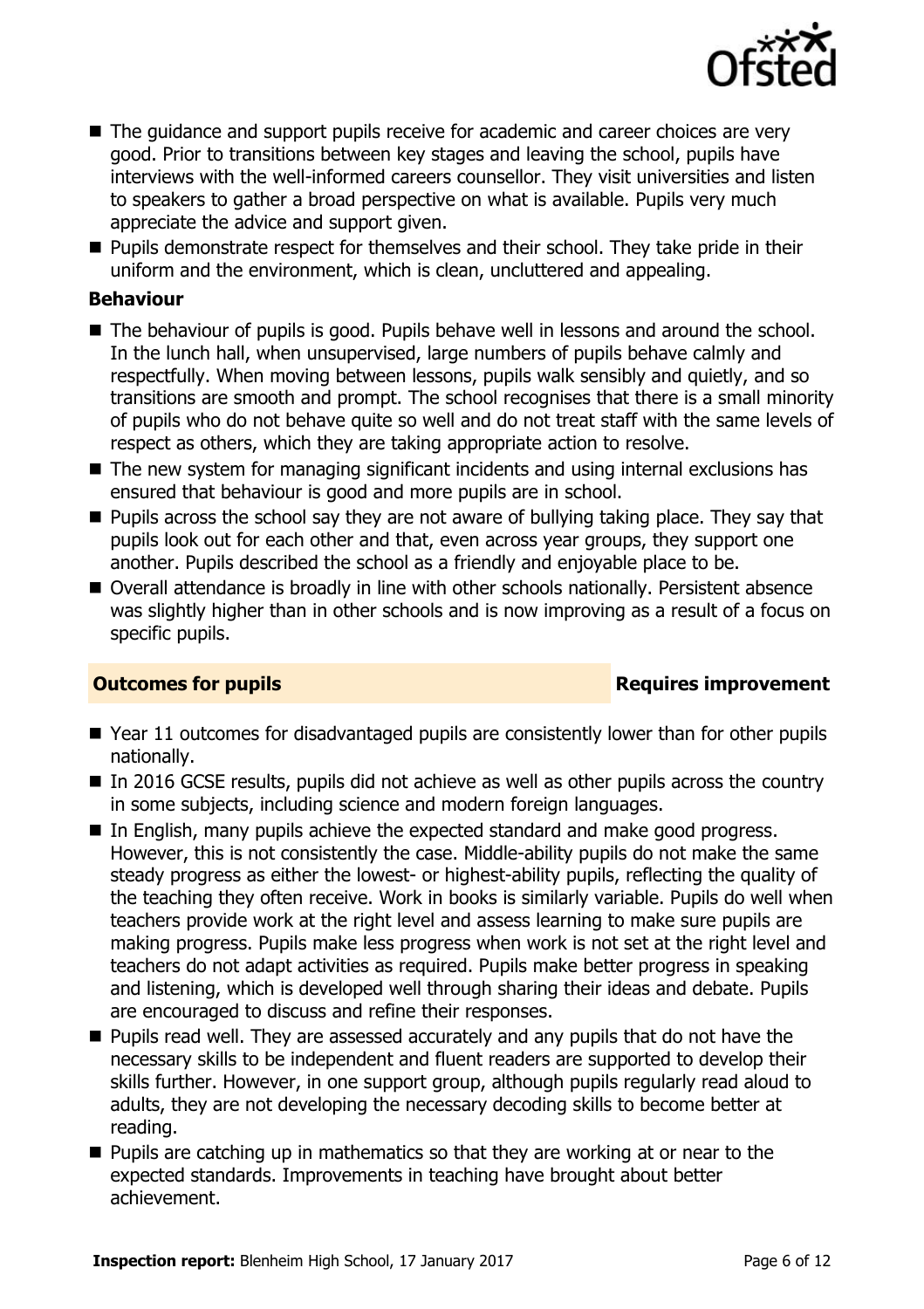

- The guidance and support pupils receive for academic and career choices are very good. Prior to transitions between key stages and leaving the school, pupils have interviews with the well-informed careers counsellor. They visit universities and listen to speakers to gather a broad perspective on what is available. Pupils very much appreciate the advice and support given.
- **Pupils demonstrate respect for themselves and their school. They take pride in their** uniform and the environment, which is clean, uncluttered and appealing.

### **Behaviour**

- The behaviour of pupils is good. Pupils behave well in lessons and around the school. In the lunch hall, when unsupervised, large numbers of pupils behave calmly and respectfully. When moving between lessons, pupils walk sensibly and quietly, and so transitions are smooth and prompt. The school recognises that there is a small minority of pupils who do not behave quite so well and do not treat staff with the same levels of respect as others, which they are taking appropriate action to resolve.
- The new system for managing significant incidents and using internal exclusions has ensured that behaviour is good and more pupils are in school.
- **Pupils across the school say they are not aware of bullying taking place. They say that** pupils look out for each other and that, even across year groups, they support one another. Pupils described the school as a friendly and enjoyable place to be.
- Overall attendance is broadly in line with other schools nationally. Persistent absence was slightly higher than in other schools and is now improving as a result of a focus on specific pupils.

### **Outcomes for pupils Requires improvement**

- Year 11 outcomes for disadvantaged pupils are consistently lower than for other pupils nationally.
- In 2016 GCSE results, pupils did not achieve as well as other pupils across the country in some subjects, including science and modern foreign languages.
- In English, many pupils achieve the expected standard and make good progress. However, this is not consistently the case. Middle-ability pupils do not make the same steady progress as either the lowest- or highest-ability pupils, reflecting the quality of the teaching they often receive. Work in books is similarly variable. Pupils do well when teachers provide work at the right level and assess learning to make sure pupils are making progress. Pupils make less progress when work is not set at the right level and teachers do not adapt activities as required. Pupils make better progress in speaking and listening, which is developed well through sharing their ideas and debate. Pupils are encouraged to discuss and refine their responses.
- **Pupils read well. They are assessed accurately and any pupils that do not have the** necessary skills to be independent and fluent readers are supported to develop their skills further. However, in one support group, although pupils regularly read aloud to adults, they are not developing the necessary decoding skills to become better at reading.
- $\blacksquare$  Pupils are catching up in mathematics so that they are working at or near to the expected standards. Improvements in teaching have brought about better achievement.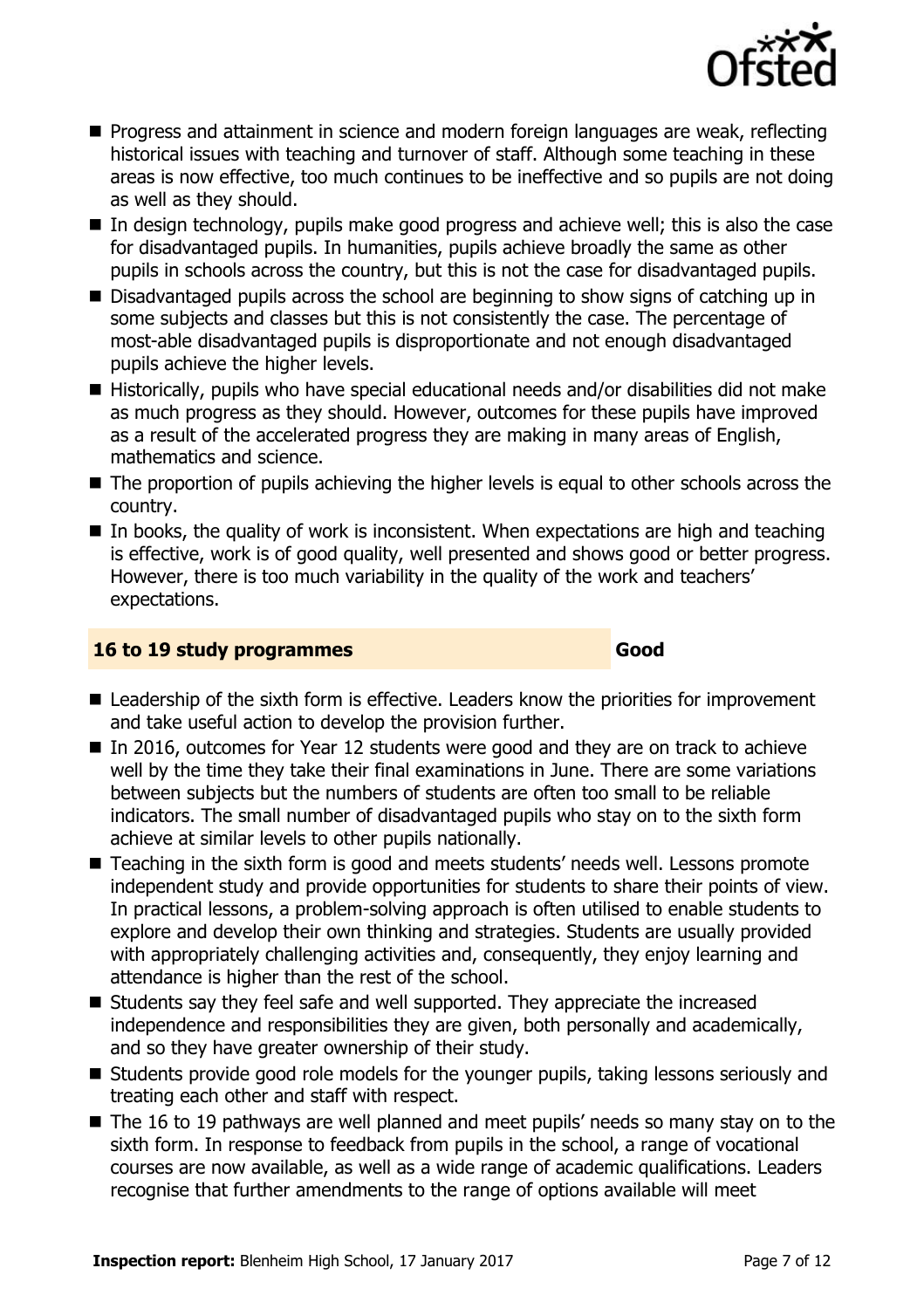

- **Progress and attainment in science and modern foreign languages are weak, reflecting** historical issues with teaching and turnover of staff. Although some teaching in these areas is now effective, too much continues to be ineffective and so pupils are not doing as well as they should.
- $\blacksquare$  In design technology, pupils make good progress and achieve well; this is also the case for disadvantaged pupils. In humanities, pupils achieve broadly the same as other pupils in schools across the country, but this is not the case for disadvantaged pupils.
- Disadvantaged pupils across the school are beginning to show signs of catching up in some subjects and classes but this is not consistently the case. The percentage of most-able disadvantaged pupils is disproportionate and not enough disadvantaged pupils achieve the higher levels.
- Historically, pupils who have special educational needs and/or disabilities did not make as much progress as they should. However, outcomes for these pupils have improved as a result of the accelerated progress they are making in many areas of English, mathematics and science.
- The proportion of pupils achieving the higher levels is equal to other schools across the country.
- $\blacksquare$  In books, the quality of work is inconsistent. When expectations are high and teaching is effective, work is of good quality, well presented and shows good or better progress. However, there is too much variability in the quality of the work and teachers' expectations.

### **16 to 19 study programmes Good**

- Leadership of the sixth form is effective. Leaders know the priorities for improvement and take useful action to develop the provision further.
- In 2016, outcomes for Year 12 students were good and they are on track to achieve well by the time they take their final examinations in June. There are some variations between subjects but the numbers of students are often too small to be reliable indicators. The small number of disadvantaged pupils who stay on to the sixth form achieve at similar levels to other pupils nationally.
- Teaching in the sixth form is good and meets students' needs well. Lessons promote independent study and provide opportunities for students to share their points of view. In practical lessons, a problem-solving approach is often utilised to enable students to explore and develop their own thinking and strategies. Students are usually provided with appropriately challenging activities and, consequently, they enjoy learning and attendance is higher than the rest of the school.
- Students say they feel safe and well supported. They appreciate the increased independence and responsibilities they are given, both personally and academically, and so they have greater ownership of their study.
- Students provide good role models for the younger pupils, taking lessons seriously and treating each other and staff with respect.
- The 16 to 19 pathways are well planned and meet pupils' needs so many stay on to the sixth form. In response to feedback from pupils in the school, a range of vocational courses are now available, as well as a wide range of academic qualifications. Leaders recognise that further amendments to the range of options available will meet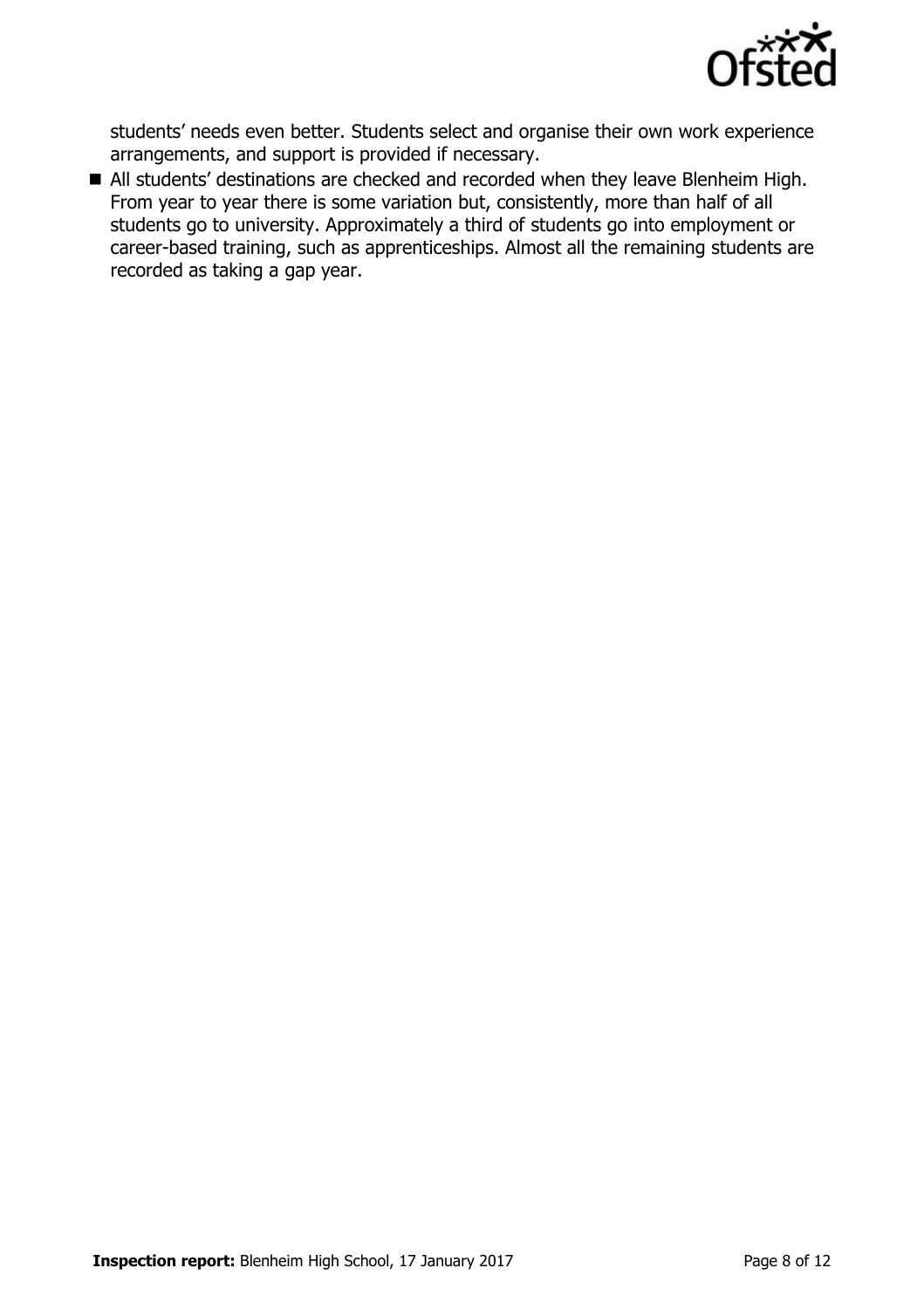

students' needs even better. Students select and organise their own work experience arrangements, and support is provided if necessary.

All students' destinations are checked and recorded when they leave Blenheim High. From year to year there is some variation but, consistently, more than half of all students go to university. Approximately a third of students go into employment or career-based training, such as apprenticeships. Almost all the remaining students are recorded as taking a gap year.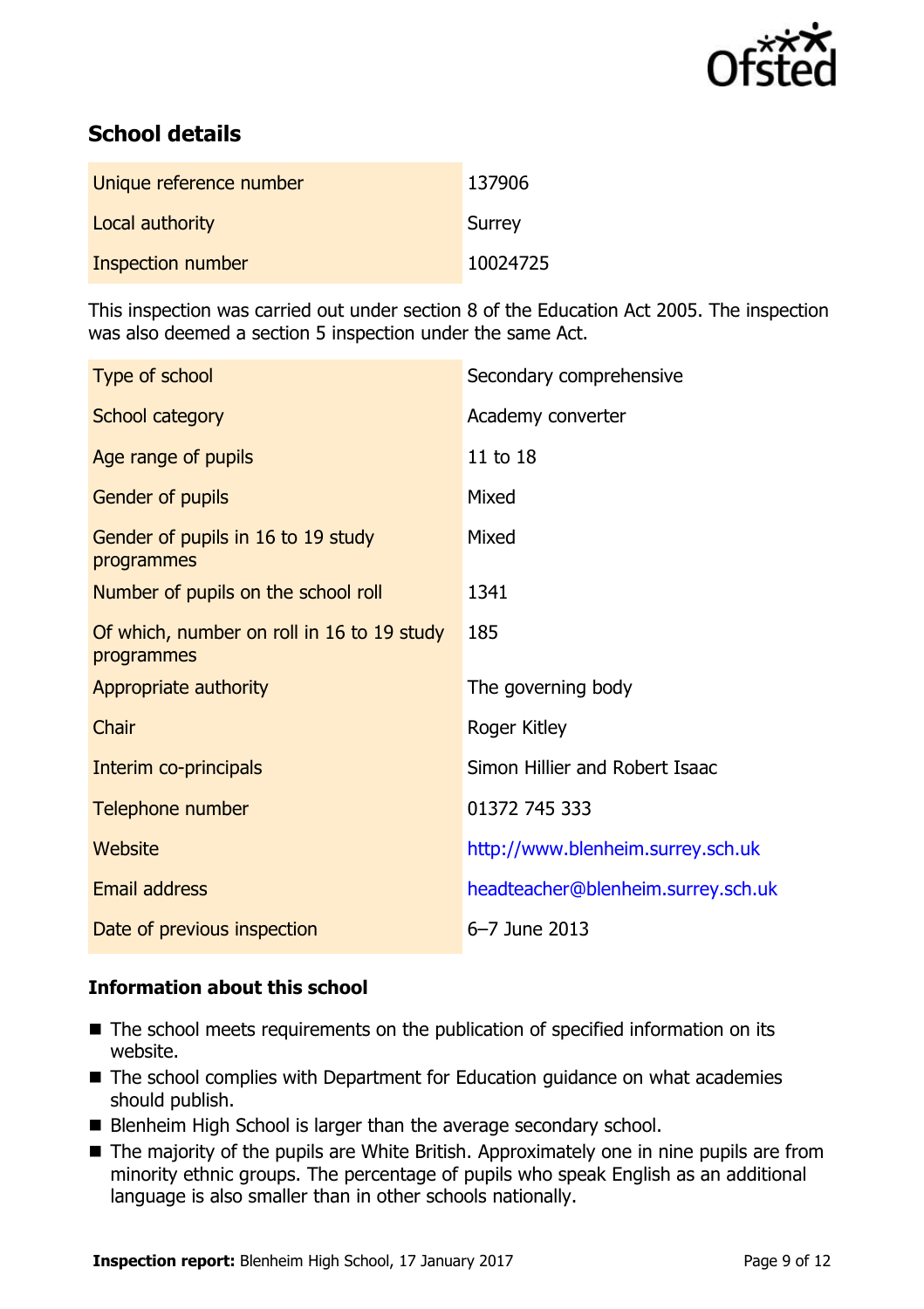

# **School details**

| Unique reference number | 137906   |
|-------------------------|----------|
| Local authority         | Surrey   |
| Inspection number       | 10024725 |

This inspection was carried out under section 8 of the Education Act 2005. The inspection was also deemed a section 5 inspection under the same Act.

| Type of school                                           | Secondary comprehensive            |  |
|----------------------------------------------------------|------------------------------------|--|
| School category                                          | Academy converter                  |  |
| Age range of pupils                                      | 11 to 18                           |  |
| Gender of pupils                                         | Mixed                              |  |
| Gender of pupils in 16 to 19 study<br>programmes         | Mixed                              |  |
| Number of pupils on the school roll                      | 1341                               |  |
| Of which, number on roll in 16 to 19 study<br>programmes | 185                                |  |
| Appropriate authority                                    | The governing body                 |  |
| Chair                                                    | Roger Kitley                       |  |
| Interim co-principals                                    | Simon Hillier and Robert Isaac     |  |
| Telephone number                                         | 01372 745 333                      |  |
| <b>Website</b>                                           | http://www.blenheim.surrey.sch.uk  |  |
| <b>Email address</b>                                     | headteacher@blenheim.surrey.sch.uk |  |
| Date of previous inspection                              | 6-7 June 2013                      |  |

### **Information about this school**

- The school meets requirements on the publication of specified information on its website.
- The school complies with Department for Education guidance on what academies should publish.
- Blenheim High School is larger than the average secondary school.
- The majority of the pupils are White British. Approximately one in nine pupils are from minority ethnic groups. The percentage of pupils who speak English as an additional language is also smaller than in other schools nationally.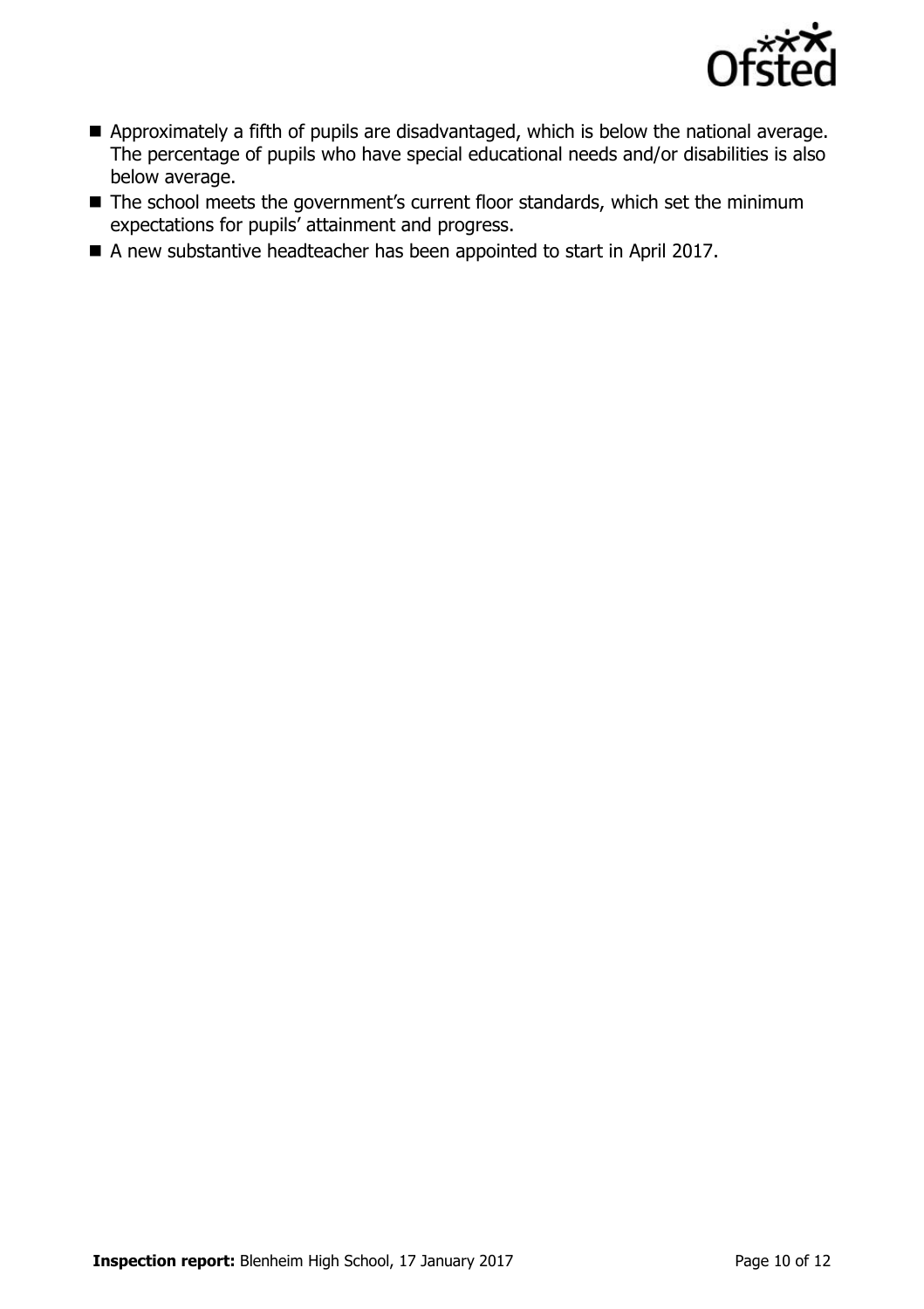

- Approximately a fifth of pupils are disadvantaged, which is below the national average. The percentage of pupils who have special educational needs and/or disabilities is also below average.
- The school meets the government's current floor standards, which set the minimum expectations for pupils' attainment and progress.
- A new substantive headteacher has been appointed to start in April 2017.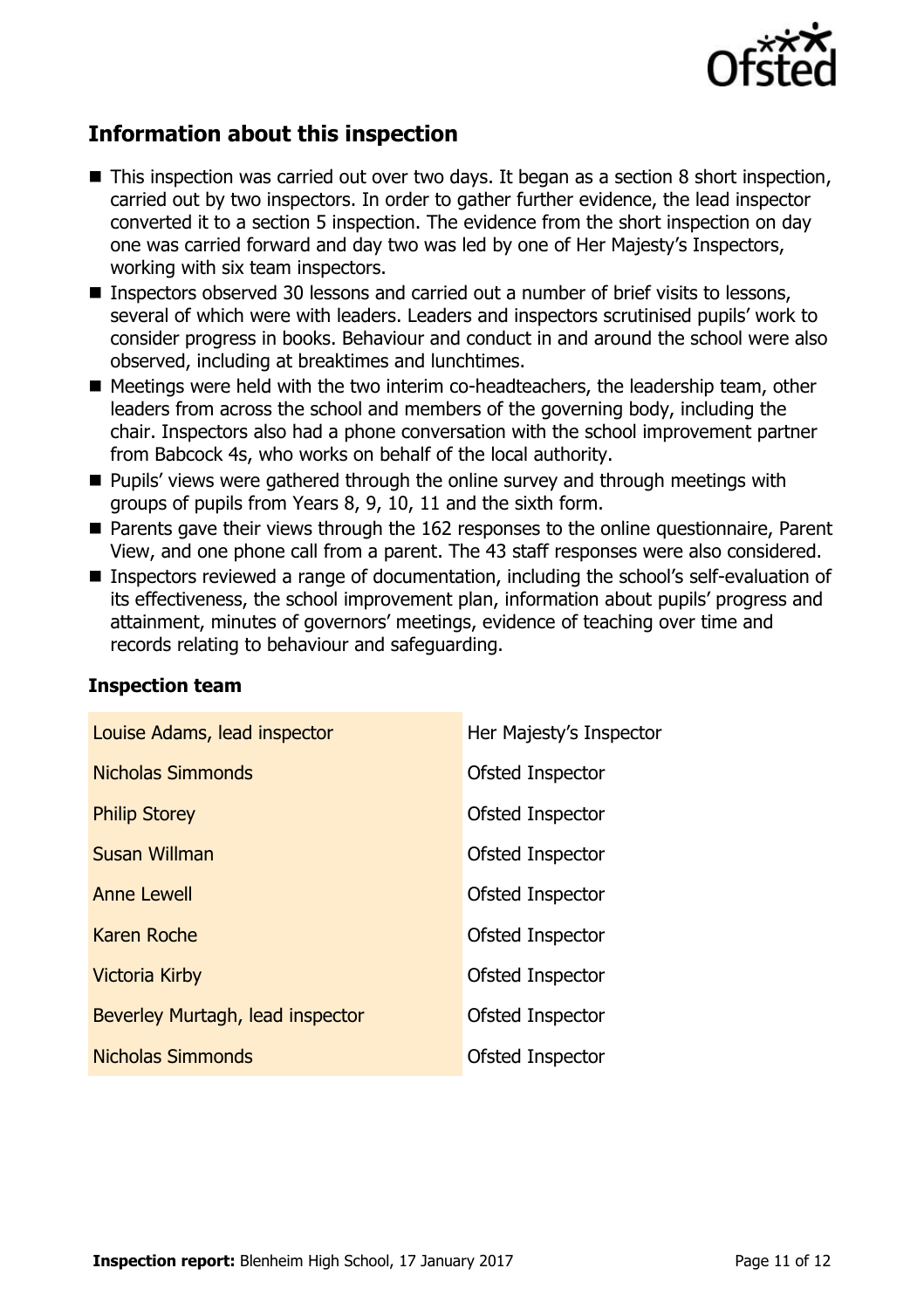

# **Information about this inspection**

- This inspection was carried out over two days. It began as a section 8 short inspection, carried out by two inspectors. In order to gather further evidence, the lead inspector converted it to a section 5 inspection. The evidence from the short inspection on day one was carried forward and day two was led by one of Her Majesty's Inspectors, working with six team inspectors.
- Inspectors observed 30 lessons and carried out a number of brief visits to lessons, several of which were with leaders. Leaders and inspectors scrutinised pupils' work to consider progress in books. Behaviour and conduct in and around the school were also observed, including at breaktimes and lunchtimes.
- Meetings were held with the two interim co-headteachers, the leadership team, other leaders from across the school and members of the governing body, including the chair. Inspectors also had a phone conversation with the school improvement partner from Babcock 4s, who works on behalf of the local authority.
- **Pupils' views were gathered through the online survey and through meetings with** groups of pupils from Years 8, 9, 10, 11 and the sixth form.
- Parents gave their views through the 162 responses to the online questionnaire, Parent View, and one phone call from a parent. The 43 staff responses were also considered.
- Inspectors reviewed a range of documentation, including the school's self-evaluation of its effectiveness, the school improvement plan, information about pupils' progress and attainment, minutes of governors' meetings, evidence of teaching over time and records relating to behaviour and safeguarding.

| Louise Adams, lead inspector     | Her Majesty's Inspector |
|----------------------------------|-------------------------|
| <b>Nicholas Simmonds</b>         | Ofsted Inspector        |
| <b>Philip Storey</b>             | Ofsted Inspector        |
| <b>Susan Willman</b>             | Ofsted Inspector        |
| <b>Anne Lewell</b>               | Ofsted Inspector        |
| Karen Roche                      | Ofsted Inspector        |
| <b>Victoria Kirby</b>            | Ofsted Inspector        |
| Beverley Murtagh, lead inspector | Ofsted Inspector        |
| <b>Nicholas Simmonds</b>         | Ofsted Inspector        |

### **Inspection team**